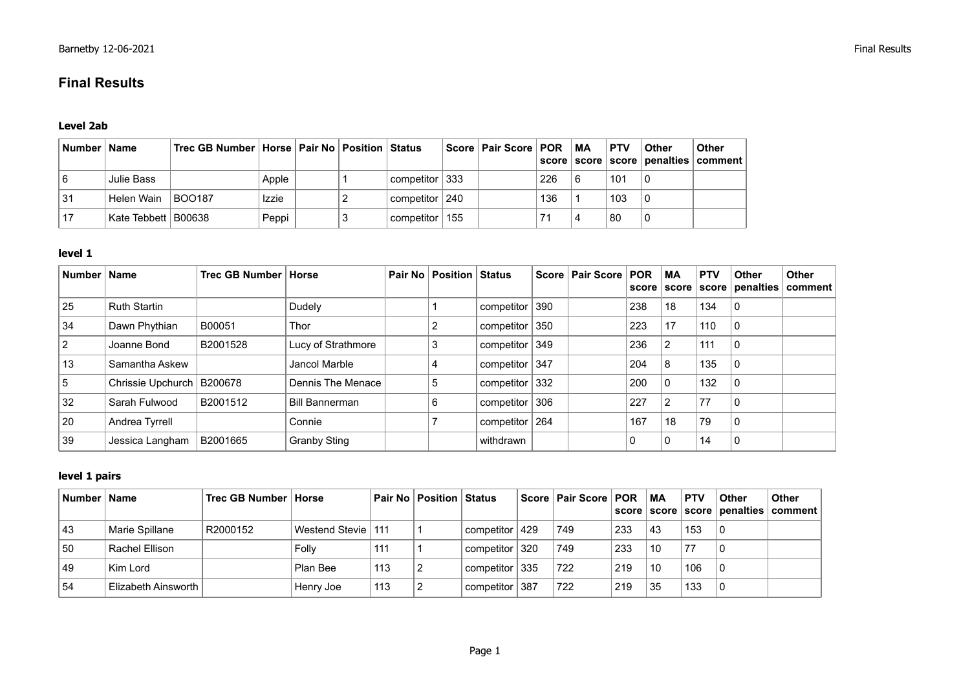# **Final Results**

## **Level 2ab**

| Number   Name |                       | Trec GB Number   Horse   Pair No   Position   Status |              |  |                    | Score   Pair Score   POR   MA |     | <b>PTV</b> | Other                   | Other<br>  score   score   score   penalties   comment |
|---------------|-----------------------|------------------------------------------------------|--------------|--|--------------------|-------------------------------|-----|------------|-------------------------|--------------------------------------------------------|
|               | Julie Bass            |                                                      | Apple        |  | competitor $ 333 $ |                               | 226 | 101        | $\mathsf{I} \mathsf{0}$ |                                                        |
| 31            | Helen Wain            | <b>BOO187</b>                                        | <b>Izzie</b> |  | competitor   240   |                               | 136 | 103        |                         |                                                        |
|               | Kate Tebbett   B00638 |                                                      | Peppi        |  | competitor ∣ 155   |                               |     | 80         | l 0                     |                                                        |

#### **level 1**

| <b>Number</b>  | <b>Name</b>                 | Trec GB Number   Horse |                       | Pair No   Position   Status |                  | Score   Pair Score   POR |     | МA             | <b>PTV</b><br>score   score   score | <b>Other</b><br>penalties   comment | Other |
|----------------|-----------------------------|------------------------|-----------------------|-----------------------------|------------------|--------------------------|-----|----------------|-------------------------------------|-------------------------------------|-------|
| 25             | <b>Ruth Startin</b>         |                        | Dudely                |                             | competitor 390   |                          | 238 | 18             | 134                                 | 0                                   |       |
| 34             | Dawn Phythian               | B00051                 | Thor                  |                             | competitor 350   |                          | 223 | 17             | 110                                 | 0                                   |       |
| $\overline{2}$ | Joanne Bond                 | B2001528               | Lucy of Strathmore    |                             | competitor $349$ |                          | 236 | $\overline{2}$ | 111                                 | $\Omega$                            |       |
| 13             | Samantha Askew              |                        | Jancol Marble         |                             | competitor 347   |                          | 204 | 8              | 135                                 | 0                                   |       |
| 5              | Chrissie Upchurch   B200678 |                        | Dennis The Menace     | 5                           | competitor $332$ |                          | 200 | 0              | 132                                 | 0                                   |       |
| 32             | Sarah Fulwood               | B2001512               | <b>Bill Bannerman</b> | 6                           | competitor 306   |                          | 227 | $\overline{2}$ | 77                                  | 0                                   |       |
| 20             | Andrea Tyrrell              |                        | Connie                |                             | competitor   264 |                          | 167 | 18             | 79                                  | $\mathbf 0$                         |       |
| 39             | Jessica Langham             | B2001665               | Granby Sting          |                             | withdrawn        |                          |     | 0              | 14                                  | $\mathbf 0$                         |       |

## **level 1 pairs**

| Number   Name |                     | Trec GB Number   Horse |                      |     | <b>Pair No   Position   Status  </b> |                    |     | ∣ Score ∣ Pair Score ∣ POR |     | MA | <b>PTV</b> | <b>Other</b> | <b>Other</b><br>ˈ score                                 score                         penalties                          comment |
|---------------|---------------------|------------------------|----------------------|-----|--------------------------------------|--------------------|-----|----------------------------|-----|----|------------|--------------|----------------------------------------------------------------------------------------------------------------------------------|
| 43            | Marie Spillane      | R2000152               | Westend Stevie   111 |     |                                      | competitor   429   |     | 749                        | 233 | 43 | 153        |              |                                                                                                                                  |
| 50            | Rachel Ellison      |                        | Folly                | 111 |                                      | competitor         | 320 | 749                        | 233 | 10 | 77         |              |                                                                                                                                  |
| 49            | Kim Lord            |                        | Plan Bee             | 113 |                                      | competitor $ 335 $ |     | 722                        | 219 | 10 | 106        |              |                                                                                                                                  |
| 54            | Elizabeth Ainsworth |                        | Henry Joe            | 113 |                                      | competitor         | 387 | 722                        | 219 | 35 | 133        |              |                                                                                                                                  |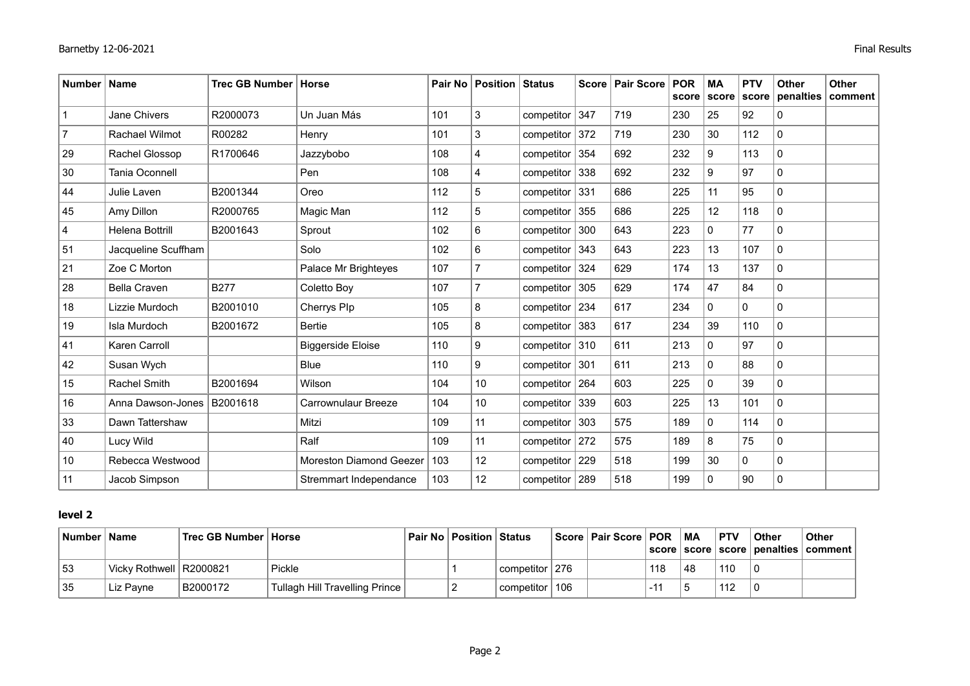| <b>Number</b> | Name                   | <b>Trec GB Number</b> | Horse                         |     | Pair No   Position   Status |                  |     | Score   Pair Score | <b>POR</b><br>score | <b>MA</b><br>score | <b>PTV</b><br>score | <b>Other</b><br>penalties | <b>Other</b><br>comment |
|---------------|------------------------|-----------------------|-------------------------------|-----|-----------------------------|------------------|-----|--------------------|---------------------|--------------------|---------------------|---------------------------|-------------------------|
|               | <b>Jane Chivers</b>    | R2000073              | Un Juan Más                   | 101 | 3                           | competitor       | 347 | 719                | 230                 | 25                 | 92                  | $\mathbf{0}$              |                         |
|               | <b>Rachael Wilmot</b>  | R00282                | Henry                         | 101 | 3                           | competitor       | 372 | 719                | 230                 | 30                 | 112                 | $\mathbf{0}$              |                         |
| 29            | Rachel Glossop         | R1700646              | Jazzybobo                     | 108 | $\overline{4}$              | competitor       | 354 | 692                | 232                 | 9                  | 113                 | $\mathbf 0$               |                         |
| 30            | Tania Oconnell         |                       | Pen                           | 108 | 4                           | componentor      | 338 | 692                | 232                 | 9                  | 97                  | $\mathbf{0}$              |                         |
| 44            | Julie Laven            | B2001344              | Oreo                          | 112 | 5                           | competitor       | 331 | 686                | 225                 | 11                 | 95                  | 0                         |                         |
| 45            | Amy Dillon             | R2000765              | Magic Man                     | 112 | $\sqrt{5}$                  | componentor      | 355 | 686                | 225                 | 12                 | 118                 | 0                         |                         |
| 4             | <b>Helena Bottrill</b> | B2001643              | Sprout                        | 102 | $\,6$                       | competitor       | 300 | 643                | 223                 | $\Omega$           | 77                  | $\Omega$                  |                         |
| 51            | Jacqueline Scuffham    |                       | Solo                          | 102 | 6                           | competitor       | 343 | 643                | 223                 | 13                 | 107                 | $\mathbf 0$               |                         |
| 21            | Zoe C Morton           |                       | Palace Mr Brighteyes          | 107 | $\overline{7}$              | competitor       | 324 | 629                | 174                 | 13                 | 137                 | 0                         |                         |
| 28            | <b>Bella Craven</b>    | <b>B277</b>           | Coletto Boy                   | 107 | $\overline{7}$              | competitor       | 305 | 629                | 174                 | 47                 | 84                  | $\mathbf 0$               |                         |
| 18            | Lizzie Murdoch         | B2001010              | Cherrys Plp                   | 105 | 8                           | competitor       | 234 | 617                | 234                 | $\Omega$           | $\Omega$            | $\mathbf{0}$              |                         |
| 19            | Isla Murdoch           | B2001672              | <b>Bertie</b>                 | 105 | 8                           | competitor       | 383 | 617                | 234                 | 39                 | 110                 | $\mathbf{0}$              |                         |
| 41            | Karen Carroll          |                       | <b>Biggerside Eloise</b>      | 110 | $\boldsymbol{9}$            | competitor   310 |     | 611                | 213                 | 0                  | 97                  | $\mathbf 0$               |                         |
| 42            | Susan Wych             |                       | <b>Blue</b>                   | 110 | $\boldsymbol{9}$            | competitor       | 301 | 611                | 213                 | $\Omega$           | 88                  | 0                         |                         |
| 15            | <b>Rachel Smith</b>    | B2001694              | Wilson                        | 104 | 10                          | competitor   264 |     | 603                | 225                 | $\mathbf 0$        | 39                  | $\mathbf{0}$              |                         |
| 16            | Anna Dawson-Jones      | B2001618              | Carrownulaur Breeze           | 104 | 10                          | competitor       | 339 | 603                | 225                 | 13                 | 101                 | $\mathbf{0}$              |                         |
| 33            | Dawn Tattershaw        |                       | Mitzi                         | 109 | 11                          | competitor       | 303 | 575                | 189                 | 0                  | 114                 | 0                         |                         |
| 40            | Lucy Wild              |                       | Ralf                          | 109 | 11                          | competitor       | 272 | 575                | 189                 | 8                  | 75                  | 0                         |                         |
| 10            | Rebecca Westwood       |                       | Moreston Diamond Geezer   103 |     | 12                          | competitor       | 229 | 518                | 199                 | 30                 | $\mathbf{0}$        | 0                         |                         |
| 11            | Jacob Simpson          |                       | Stremmart Independance        | 103 | 12                          | competitor   289 |     | 518                | 199                 | $\Omega$           | 90                  | $\mathbf{0}$              |                         |

#### **level 2**

| <b>Number</b> | <b>Name</b>               | Trec GB Number   Horse |                                | ∣ Pair No ∣ Position ∣ Status |                    | Score   Pair Score   POR   MA |     |    | <b>PTV</b> | ∣ Other | <b>Other</b><br>score   score   score   penalties   comment |
|---------------|---------------------------|------------------------|--------------------------------|-------------------------------|--------------------|-------------------------------|-----|----|------------|---------|-------------------------------------------------------------|
| 53            | Vicky Rothwell   R2000821 |                        | Pickle                         |                               | competitor   276   |                               | 118 | 48 | 110        | l 0     |                                                             |
| -35           | Liz Pavne                 | B2000172               | Tullagh Hill Travelling Prince |                               | l competitor ∣ 106 |                               |     |    | 112        |         |                                                             |